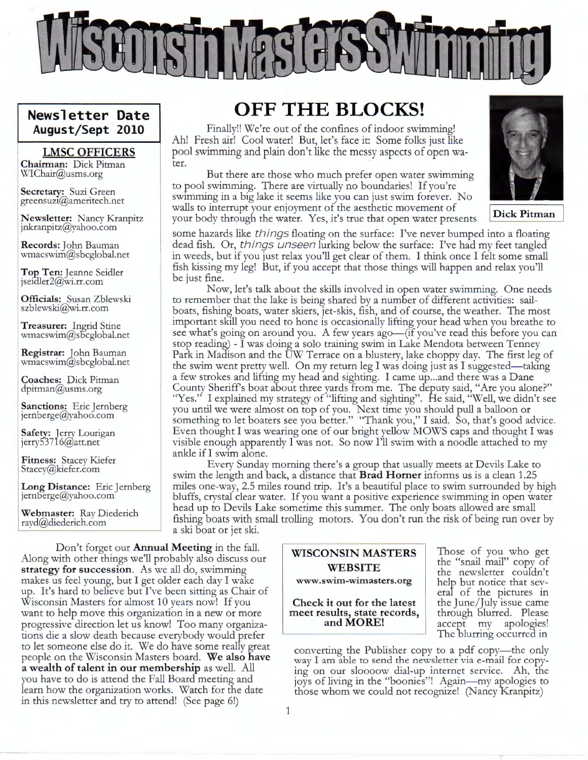

#### **Newsletter Date August/Sept 2010**

#### **LMSC OFFICERS**

**Chairman:** Dick Pitman WIChair@usms.org

**Secretary:** Suzi Green greensuz1@ameritech.net

**Newsletter:** Nancy Kranpitz jnkranpitz@yahoo.com

**Records:** John Bauman wmacswim@sbcglobal.net

**Top Ten:** Jeanne Seidler jseidler2@wi.rr.com

**Officials:** Susan Zblewski szblewski@wi.rr.com

**Treasurer:** Ingrid Stine  $wmaxwim@s$  bcglobal.net

**Registrar:** John Bauman wmacswim@sbcglobal.net

**Coaches:** Dick Pitman dpitman@usms.org

**Sanctions:** Eric Jernberg jernberge@yahoo.com

**\$afety:** Jerry Lourigan jerry53716@att.net

**Fitness:** Stacey Kiefer Stacey@kiefer.com

**Long Distance:** Eric Jernberg<br>jernberge@yahoo.com

**Webmaster:** Ray Diederich rayd@diederich.com

### **OFF THE BLOCKS!**

Finally!! We're out of the confines of indoor swimming! Ah! Fresh air! Cool water! But, let's face it: Some folks just like pool swimming and plain don't like the messy aspects of open water.

But there are those who much prefer open water swimming to pool swimming. There are virtually no boundaries! If you're swimming in a big lake it seems like you can just swim forever. No walls to interrupt your enjoyment of the aesthetic movement of your body through the water. Yes, it's true that open water presents .



some hazards like things floating on the surface: I've never bumped into a floating dead fish. Or, things unseen lurking below the surface: I've had my feet tangled in weeds, but if you just relax you'll get clear of them. I think once I felt some small fish kissing my leg! But, if you accept that those things will happen and relax you'll be just fine.

Now, let's talk about the skills involved in open water swimming. One needs to remember that the lake is being shared by a number of different activities: sailboats, fishing boats, water skiers, jet-skis, fish, and of course, the weather. The most important skill you need to hone is occasionally lifting your head when you breathe to see what's going on around you. A few years ago—(if you've read this before you can stop reading) - I was doing a solo training swim in Lake Mendota between Tenney Park in Madison and the UW Terrace on a blustery, lake choppy day. The first leg of the swim went pretty well. On my return leg I was doing just as I suggested—taking a few strokes and lifting my head and sighting. I came up... and there was a Dane County Sheriff's boat about three yards from me. The deputy said, "Are you alone?" "Yes." I explained my strategy of "lifting and sighting". He said, "Well, we didn't see you until we were almost on top of you. Next time you should pull a balloon or something to let boaters see you better." "Thank you," I said. So, that's good advice. Even thought I was wearing one of our bright yellow MOWS caps and thought I was visible enough apparently I was not. So now I'll swim with a noodle attached to my ankle if I swim alone.

Every Sunday morning there's a group that usually meets at Devils Lake to swim the length and back, a distance that **Brad Horner** informs us is a clean 1.25 miles one-way, 2.5 miles round trip. It's a beautiful place to swim surrounded by high bluffs, crystal clear water. If you want a positive experience swimming in open water head up to Devils Lake sometime this summer. The only boats allowed are small fishing boats with small trolling motors. You don't run the risk of being run over by a ski boat or jet ski.

Don't forget our **Annual Meeting** in the fall. **WISCONSIN MASTERS** Along with other things we'll probably also discuss our **strategy for succession.** As we all do, swimming makes us feel young, but I get older each day I wake up. It's hard to believe but I've been sitting as Chair of Wisconsin Masters for almost 10 years now! If you want to help move this organization in a new or more progressive direction let us know! Too many organizations die a slow death because everybody would prefer to let someone else do it. We do have some really great people on the Wisconsin Masters board. **We also have a wealth of talent** in **our membership** as well. All you have to do is attend the Fall Board meeting and learn how the organization works. Watch for the date in this newsletter and try to attend! (See page 6!)

# **WEBSITE www.swim-wimasters.org**

**Check** it **out for the latest meet results, state records, and MORE!** 

the "snail mail" copy of the newsletter couldn't help but notice that several of the pictures in the June/July issue came through blurred. Please accept my apologies! The blurring occurred in

converting the Publisher copy to a pdf copy-the only way I am able to send the newsletter via e-mail for copying on our sloooow dial-up internet service. Ah, the joys of living in the "boonies"! Again- my apologies to those whom we could not recognize! (Nancy Kranpitz)

1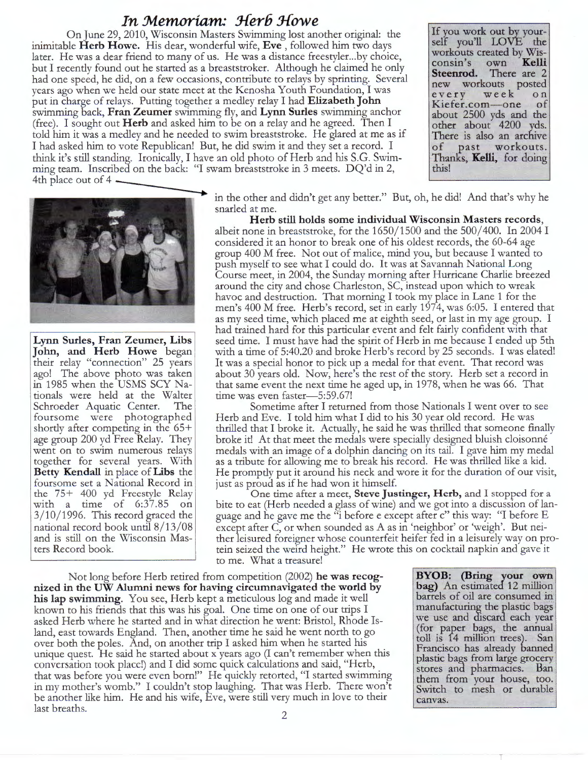#### **In Memoriam: Herb Howe**

On June 29, 2010, Wisconsin Masters Swimming lost another original: the inimitable **Herb Howe.** His dear, wonderful wife, **Eve** , followed him two days later. He was a dear friend to many of us. He was a distance freestyler...by choice, but I recently found out he started as a breaststroker. Although he claimed he only had one speed, he did, on a few occasions, contribute to relays by sprinting. Several years ago when we held our state meet at the Kenosha Youth Foundation, I was put in charge of relays. Putting together a medley relay I had **Elizabeth John**  swimming back, **Fran Zeumer** swimming fly, and **Lynn Surles** swimming anchor (free). I sought out **Herb** and asked him to be on a relay and he agreed. Then I told him it was a medley and he needed to swim breaststroke. He glared at me as if I had asked him to vote Republican! But, he did swim it and they set a record. I think it's still standing. Ironically, I have an old photo of Herb and his S.G. Swimthink it's still standing. Ironically, I have an old photo of Herb and his S.G. Swim<br>ming team. Inscribed on the back: "I swam breaststroke in 3 meets. DQ'd in 2,<br>4th place out of 4

If you work out by yourself you'll LOVE the workouts created by Wisconsin's own **Kelli Steenrod.** There are 2 new workouts posted every week on Kiefer.com-one of about 2500 yds and the other about 4200 yds. There is also an archive of past workouts. Thanlcs, **Kelli,** for doing this!



**Lynn Surles, Fran Zeumer, Libs John, and Herb Howe** began their relay "connection" 25 years ago! The above photo was taken in 1985 when the USMS SCY Nationals were held at the Walter Schroeder Aquatic Center. The foursome were photographed shortly after competing in the 65+ age group 200 yd Free Relay. They went on to swim numerous relays together for several years. With **Betty Kendall** in place of **Libs** the foursome set a National Record in the 75+ 400 yd Freestyle Relay with a time of 6:37.85 on  $3/10/1996$ . This record graced the national record book until 8/13/08 and is still on the Wisconsin Masters Record book.

in the other and didn't get any better." But, oh, he did! And that's why he snarled at me.

**Herb still holds some individual Wisconsin Masters records,**  albeit none in breaststroke, for the  $1650/1500$  and the  $500/400$ . In 2004 I considered it an honor to break one of his oldest records, the 60-64 age group 400 M free. Not out of malice, mind you, but because I wanted to push myself to see what I could do. It was at Savannah National Long Course meet, in 2004, the Sunday morning after Hurricane Charlie breezed around the city and chose Charleston, SC, instead upon which to wreak havoc and destruction. That morning I took my place in Lane 1 for the men's 400 M free. Herb's record, set in early 1974, was 6:05. I entered that as my seed time, which placed me at eighth seed, or last in my age group. I had trained hard for this particular event and felt fairly confident with that seed time. I must have had the spirit of Herb in me because I ended up 5th with a time of 5:40.20 and broke Herb's record by 25 seconds. I was elated! It was a special honor to pick up a medal for that event. That record was about 30 years old. Now, here's the rest of the story. Herb set a record in that same event the next time he aged up, in 1978, when he was 66. That time was even faster-5:59.67!

Sometime after I returned from those Nationals I went over to see Herb and Eve. I told him what I did to his 30 year old record. He was thrilled that I broke it. Actually, he said he was thrilled that someone finally broke it! At that meet the medals were specially designed bluish cloisonné medals with an image of a dolphin dancing on its tail. I gave him my medal as a tribute for allowing me to break his record. He was thrilled like a kid. He promptly put it around his neck and wore it for the duration of our visit, just as proud as if he had won it himself.

One time after a meet, **Steve Justinger, Herb,** and I stopped for a bite to eat (Herb needed a glass of wine) and we got into a discussion of language and he gave me the "i before e except after c" this way: "I before E except after C, or when sounded as A as in 'neighbor' or 'weigh'. But neither leisured foreigner whose counterfeit heifer fed in a leisurely way on protein seized the weird height." He wrote this on cocktail napkin and gave it to me. What a treasure!

Not long before Herb retired from competition (2002) **he was recognized in the UW Alumni news for having circumnavigated the world by his lap swimming.** You see, Herb kept a meticulous log and made it well known to his friends that this was his goal. One time on one of our trips I asked Herb where he started and in what direction he went: Bristol, Rhode Island, east towards England. Then, another time he said he went north to go over both the poles. And, on another trip I asked him when he started his unique quest. He said he started about x years ago (I can't remember when this conversation took place!) and I did some quick calculatiom and said, "Herb, that was before you were even born!" He quickly retorted, "I started swimming in my mother's womb." I couldn't stop laughing. That was Herb. There won't be another like him. He and his wife, Eve, were still very much in love to their last breaths. 2

**BYOB: (Bring your own bag)** An estimated 12 million barrels of oil are consumed in manufacturing the plastic bags we use and discard each year (for paper bags, the annual toll is 14 million trees). San Francisco has already banned plastic bags from large grocery stores and pharmacies. Ban them from your house, too. Switch to mesh or durable canvas.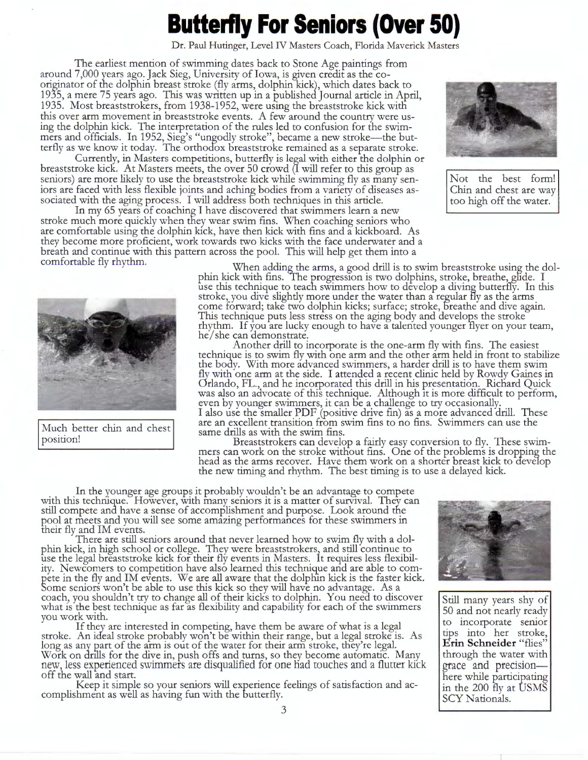# **Butterfly For Seniors (Over 50)**

Dr. Paul Hutinger, Level IV Masters Coach, Florida Maverick Masters

The earliest mention of swimming dates back to Stone Age paintings from around 7,000 years ago. Jack Sieg, University of Iowa, is given credit as the cooriginator of the dolphin breast stroke (fly arms, dolphin kick), which dates back to 1935, a mere 75 years ago. This was written up in a published Journal article in April, 1935. Most breaststrokers, from 1938-1952, were using the breaststroke kick with this over arm movement in breaststroke events. A few around the country were using the dolphin kick. The interpretation of the rules led to confusion for the swimmers and officials. In 1952, Sieg's "ungodly stroke", became a new stroke—the butterfly as we know it today. The orthodox breaststroke remained as a separate stroke.

Currently, in Masters competitions, butterfly is legal with either the dolphin or breaststroke kick. At Masters meets, the over 50 crowd (1 will refer to this group as seniors) are more likely to use the breaststroke kick while swimming fly as many seniors are faced with less flexible joints and aching bodies from a variety of diseases associated with the aging process. I will address both techniques in this article.

In my 65 years of coaching I have discovered that swimmers learn a new stroke much more quickly when they wear swim fins. When coaching seniors who are comfortable using the dolphin kick, have then kick with fins and a kickboard. As they become more proficient, work towards two kicks with the face underwater and a breath and continue with this pattern across the pool. This will help get them into a comfortable fly rhythm.



Not the best form! Chin and chest are way too high off the water.



When adding the arms, a good drill is to swim breaststroke using the dolphin kick with fins. The progression is two dolphins, stroke, breathe, glide. I use this technique to teach swimmers how to develop a diving butterfly. In this stroke, you dive slightly more under the water than a regular fly as the arms come forward; take two dolphin kicks; surface; stroke, 5reathe and dive again. This technique puts less stress on the aging body and develops the stroke rhythm. If you are lucky enough to have a talented younger 1lyer on your team, he/ she can demonstrate.

Another drill to incorporate is the one-arm fly with fins. The easiest technique is to swim fly with one arm and the other arm held in front to stabilize the body. With more advanced swimmers, a harder drill is to have them swim fly with one arm at the side. I attended a recent clinic held by Rowdy Gaines in Orlando, FL., and he incorporated this drill in his presentation. Richard Quick was also an advocate of this technique. Although 1t is more difficult to perform, even by younger swimmers, it can be a challenge to try occasionally. I also use the smaller PDF (positive drive fin) as a more advanced drill. These Auch better chin and chest<br>
same drills as with the swim fins to no fins. Swimmers can use the<br>
position!<br>
Breaststrokers can develop a fairly easy conversion to fly. These swim

Breaststrokers can develop a fairly easy conversion to fly. These swimmers can work on the stroke without fins. One of the problems is dropping the head as the arms recover. Have them work on a shorter breast kick to develop the new timing and rhythm. The best timing is to use a delayed kick.

In the younger age groups it probably wouldn't be an advantage to compete with this technique. However, with many seniors it is a matter of survival. They can still compete and have a sense of accomplishment and purpose. Look around the pool at meets and you will see some amazing performances for these swimmers in their fly and IM events.

There are still seniors around that never learned how to swim fly with a dolphin kick, in high school or college. They were breaststrokers, and still continue to use the legal breaststroke kick for their fly events in Masters. It requires less flexibility. Newcomers to competition have also learned this technique and are able to compete in the fly and IM events. We are all aware that the dolphin kick is the faster kick. Some seniors won't be able to use this kick so they will have no advantage. As a coach, you shouldn't try to change all of their kicks to dolphin. You need to discover what is the best technique as far as flexibility and capability for each of the swimmers you work with.

If they are interested in competing, have them be aware of what is a legal stroke. An ideal stroke probably won't be within their range, but a legal stroke is. As long as any part of the arm is out of the water for their arm stroke, they're legal. Work on drills for the dive in, push offs and turns, so they become automatic. Many new, less experienced swimmers are disqualified for one had touches and a flutter kick off the wall and start.

Keep it simple so your seniors will experience feelings of satisfaction and accomplishment as well as having fun with the butterfly.



Still many years shy of 50 and not nearly ready to incorporate senior tips into her stroke, **Erin Schneider** "flies" through the water with grace and precisionhere while participating in the 200  $\bar{f}$ ly at  $\bar{U}$ SMS SCY Nationals.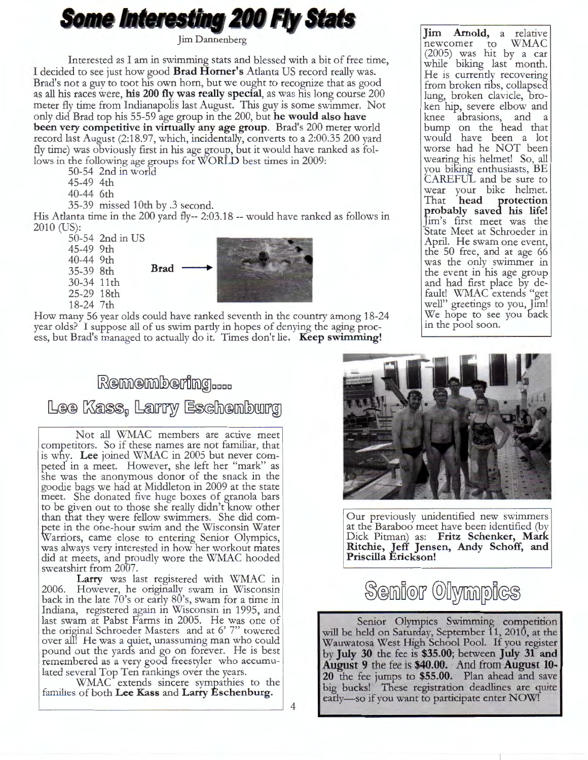# **Some Interesting 200 Fly Stats**

Jim Dannenberg

Interested as I am in swimming stats and blessed with a bit of free time, I decided to see just how good **Brad Homer's** Atlanta US record really was. Brad's not a guy to toot his own horn, but we ought to recognize that as good as all his races were, **his 200 fly was really special,** as was his long course 200 meter fly time from Indianapolis last August. This guy is some swimmer. Not only did Brad top his 55-59 age group in the 200, but **he would also have been very competitive in virtually any age group.** Brad's 200 meter world record last August (2:18.97, which, incidentally, converts to a 2:00.35 200 yard fly time) was obviously first in his age group, but it would have ranked as follows in the following age groups for **WORLD** best times in 2009:

50-54 2nd in world

- 45-49 4th
- 40-44 6th

35-39 missed 10th by .3 second.

His Atlanta time in the 200 yard fly-- 2:03.18 -- would have ranked as follows in 2010 (US):

50-54 2nd in US 45-49 9th 40-44 9th 35-39 8th 30-34 11th 25-29 18th 18-24 7th **Brad** ..



How many 56 year olds could have ranked seventh in the country among 18-24 year olds? I suppose all of us swim partly in hopes of denying the aging process, but Brad's managed to actually do it. Times don't lie. **Keep swimming!** 

## $R$ emembering.... Lee Kass, Larry Eschenburg

Not all WMAC members are active meet competitors. So if these names are not familiar, that is why. Lee joined WMAC in 2005 but never competed in a meet. However, she left her "mark" as she was the anonymous donor of the snack in the goodie bags we had at Middleton in 2009 at the state meet. She donated five huge boxes of granola bars to be given out to those she really didn't know other than that they were fellow swimmers. She did compete in the one-hour swim and the Wisconsin Water Warriors, came close to entering Senior Olympics, was always very interested in how her workout mates

did at meets, and proudly wore the WMAC hooded sweatshirt from 2007. **Larry** was last registered with WMAC in 2006. However, he originally swam in Wisconsin back in the late 70's or early 80's, swam for a time in Indiana, registered again in Wisconsin in 1995, and

last swam at Pabst Farms in 2005. He was one of the original Schroeder Masters and at 6' 7" towered over ali! He was a guiet, unassuming man who could pound out the yards and go on forever. He is best remembered as a very good freestyler who accumulated several Top Ten rankings over the years.

WMAC extends sincere sympathies to the families of both **Lee Kass** and **Larry Eschenburg.** 

**Jim Arnold,** a relative newcomer to WMAC (2005) was hit by a car while biking last month. He is currently recovering from broken ribs, collapsed lung, broken clavicle, broken hip, severe elbow and knee abrasions, and a bump on the head that would have been a lot worse had he NOT been wearing his helmet! So, all you biking enthusiasts, BE CAREFUL and be sure to wear your bike helmet.<br>That head protection That **head probably saved his life!**  Jim's first meet was the State Meet at Schroeder in April. He swam one event, the 50 free, and at age 66 was the only swimmer in the event in his age group and had first place by default! WMAC extends "get well" greetings to you, Jim! We hope to see you back in the pool soon.



Our previously unidentified new swimmers at the Baraboo meet have been identified (by Dick Pitman) as: **Fritz Schenker, Mark Ritchie, Jeff Jensen, Andy Schoff, and Priscilla Erickson!** 

Senior Olympics

Senior Olympics Swimming competition will be held on Saturday, September 11, 2010, at the Wauwatosa West High School Pool. If you register by **July 30** the fee is **\$35.00;** between **July 31 and August 9** the fee is **\$40.00.** And from **August 10- 20** the fee jumps to **\$55.00.** Plan ahead and save big bucks! These registration deadlines are quite early-so if you want to participate enter **NOW!** 

4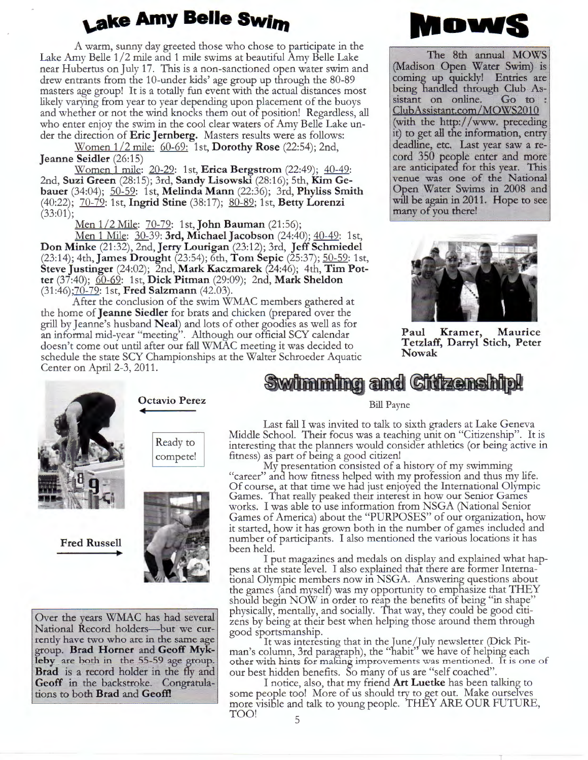## **Lake Amy Belle Swim**

A warm, sunny day greeted those who chose to participate in the Lake Amy Belle 1/2 mile and 1 mile swims at beautiful Amy Belle Lake near Hubertus on July 17. This is a non-sanctioned open water swim and drew entrants from the 10-under kids' age group up through the 80-89 masters age group! It is a totally fun event with the actual distances most likely varying from year to year depending upon placement of the buoys and whether or not the wind knocks them out of position! Regardless, all who enter enjoy the swim in the cool clear waters of Amy Belle Lake under the direction of **Eric Jernberg.** Masters results were as follows:

Women 1 /2 mile: 60-69: 1st, **Dorothy Rose** (22:54); 2nd, **Jeanne Seidler** (26:15)

Women 1 mile: 20-29: 1st, **Erica Bergstrom** (22:49); 40-49: 2nd, **Suzi Green** (28:15); 3rd, **Sandy Lisowski** (28:16); 5th, **Kim Gebauer** (34:04); 50-59: 1st, **Melinda Mann** (22:36); 3rd, **Phyliss Smith**  (40:22); 70-79: 1st, **Ingrid Stine** (38:17); 80-89; 1st, **Betty Lorenzi**   $(33:01);$ 

Men 1/2 Mile: 70-79: 1st, **John Bauman** (21:56);

Men 1 Mile: 30-39: **3rd, Michael Jacobson** (24:40); 40-49: 1st, **Don Minke** (21:32), 2nd, **Jerry Lourigan** (23: 12); 3rd, **Jeff Schmiedel**  (23:14); 4th, **James Drought** (23:54); 6th, **Tom Sepic** (25:37); 50-59: 1st, **Steve Justinger** (24:02); 2nd, **Mark Kaczmarek** (24:46); 4th, **Tim Potter** (37:40); 60-69: 1st, **Dick Pitman** (29:09); 2nd, **Mark Sheldon**  (31:46);70-79: 1st, **Fred Salzmann** (42.03).

After the conclusion of the swim WMAC members gathered at the home of **Jeanne Siedler** for brats and chicken (prepared over the grill by Jeanne's husband **Neal)** and lots of other goodies as well as for an informal mid-year "meeting". Although our official SCY calendar doesn't come out until after our fall WMAC meeting it was decided to schedule the state SCY Championships at the Walter Schroeder Aquatic Center on April 2-3, 2011.



The 8th annual **MOWS**  (Madison Open Water Swim) is coming up quickly! Entries are being handled through Club Assistant on online. Go to sistant on online. ClubAssistant.com/MOWS2010 (with the http://www. preceding it) to get all the information, entry deadline, etc. Last year saw a record 350 people enter and more are anticipated for this year. This venue was one of the National Open Water Swims in 2008 and will be again in 2011. Hope to see many of you there!



**Paul Kramer, Maurice Tetzlaff, Darryl Stich, Peter Nowak** 



**Fred Russell** 

Ready to

compete!

**Octavio Perez** 



Over the years WMAC has had several National Record holders-but we currently have two who are in the same age group. **Brad Horner** and **Geoff Myklehy** are both in the 55-59 age group. **Brad** is a record holder in the fly and **Geoff** in the backstroke. Congratulations to both **Brad** and **Geoff!** 

### Swimming and Citizenship!

#### Bill Payne

Last fall I was invited to talk to sixth graders at Lake Geneva Middle School. Their focus was a teaching unit on "Citizenship". It is interesting that the planners would consider athletics (or being active in fitness) as part of being a good citizen!

My presentation consisted of a history of my swimming "career" and how fitness helped with my profession and thus my life. Of course, at that time we had just enjoyea the International Olympic Games. That really peaked their interest in how our Senior Games works. I was able to use information from NSGA (National Senior Games of America) about the "PURPOSES" of our organization, how it started, how it has grown both in the number of games included and number of participants. I also mentioned the various locations it has been held.

I put magazines and medals on display and explained what happens at the state level. I also explained that there are former International Olympic members now in NSGA. Answering questions about the games (and myself) was my opportunity to emphasize that THEY should begin NOW in order to reap the benefits of being "in shape" physically, mentally, and socially. That way, they could be good citizens by being at their best when helping those around them through good sportsmanship.

It was interesting that in the June/July newsletter (Dick Pitman's column, 3rd paragraph), the "habit" we have of helping each other with hints for making improvements was mentioned. It is one of our best hidden benefits. So many of us are "self coached".

I notice, also, that my friend **Art Luetke** has been talking to some people too! More of us should try to get out. Make ourselves more visible and talk to young people. THEY ARE OUR FUTURE, TOO!